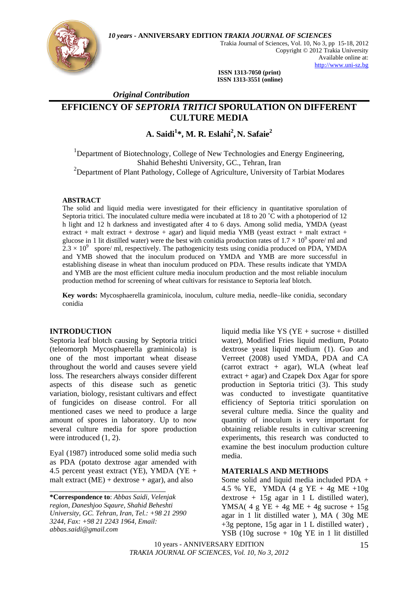*10 years* **- ANNIVERSARY EDITION** *TRAKIA JOURNAL OF SCIENCES* 



Trakia Journal of Sciences, Vol. 10, No 3, pp 15-18, 2012 Copyright © 2012 Trakia University Available online at: http://www.uni-sz.bg

 **ISSN 1313-7050 (print) ISSN 1313-3551 (online)** 

 *Original Contribution* 

# **EFFICIENCY OF** *SEPTORIA TRITICI* **SPORULATION ON DIFFERENT CULTURE MEDIA**

## **A. Saidi<sup>1</sup> \*, M. R. Eslahi<sup>2</sup> , N. Safaie2**

<sup>1</sup>Department of Biotechnology, College of New Technologies and Energy Engineering, Shahid Beheshti University, GC., Tehran, Iran <sup>2</sup>Department of Plant Pathology, College of Agriculture, University of Tarbiat Modares

#### **ABSTRACT**

The solid and liquid media were investigated for their efficiency in quantitative sporulation of Septoria tritici. The inoculated culture media were incubated at 18 to 20 ˚C with a photoperiod of 12 h light and 12 h darkness and investigated after 4 to 6 days. Among solid media, YMDA (yeast extract + malt extract + dextrose + agar) and liquid media YMB (yeast extract + malt extract + glucose in 1 lit distilled water) were the best with conidia production rates of  $1.7 \times 10^9$  spore/ ml and  $2.3 \times 10^9$  spore/ ml, respectively. The pathogenicity tests using conidia produced on PDA, YMDA and YMB showed that the inoculum produced on YMDA and YMB are more successful in establishing disease in wheat than inoculum produced on PDA. These results indicate that YMDA and YMB are the most efficient culture media inoculum production and the most reliable inoculum production method for screening of wheat cultivars for resistance to Septoria leaf blotch.

**Key words:** Mycosphaerella graminicola, inoculum, culture media, needle–like conidia, secondary conidia

#### **INTRODUCTION**

Septoria leaf blotch causing by Septoria tritici (teleomorph Mycosphaerella graminicola) is one of the most important wheat disease throughout the world and causes severe yield loss. The researchers always consider different aspects of this disease such as genetic variation, biology, resistant cultivars and effect of fungicides on disease control. For all mentioned cases we need to produce a large amount of spores in laboratory. Up to now several culture media for spore production were introduced (1, 2).

Eyal (1987) introduced some solid media such as PDA (potato dextrose agar amended with 4.5 percent yeast extract (YE), YMDA (YE + malt extract  $(ME) +$  dextrose + agar), and also

\_\_\_\_\_\_\_\_\_\_\_\_\_\_\_\_\_\_\_\_\_\_\_\_\_\_\_\_\_\_

liquid media like YS (YE + sucrose + distilled water), Modified Fries liquid medium, Potato dextrose yeast liquid medium (1). Guo and Verreet (2008) used YMDA, PDA and CA (carrot extract  $+$  agar), WLA (wheat leaf extract + agar) and Czapek Dox Agar for spore production in Septoria tritici (3). This study was conducted to investigate quantitative efficiency of Septoria tritici sporulation on several culture media. Since the quality and quantity of inoculum is very important for obtaining reliable results in cultivar screening experiments, this research was conducted to examine the best inoculum production culture media.

#### **MATERIALS AND METHODS**

Some solid and liquid media included PDA + 4.5 % YE, YMDA (4 g YE + 4g ME +10g  $dextrose + 15g agar in 1 L distilled water),$ YMSA(  $4 g YE + 4g ME + 4g sucrose + 15g$ agar in 1 lit distilled water ), MA ( 30g ME +3g peptone, 15g agar in 1 L distilled water) , YSB (10g sucrose + 10g YE in 1 lit distilled

10 years - ANNIVERSARY EDITION *TRAKIA JOURNAL OF SCIENCES, Vol. 10, No 3, 2012*

**<sup>\*</sup>Correspondence to**: *Abbas Saidi, Velenjak region, Daneshjoo Sqaure, Shahid Beheshti University, GC. Tehran, Iran, Tel.: +98 21 2990 3244, Fax: +98 21 2243 1964, Email: abbas.saidi@gmail.com*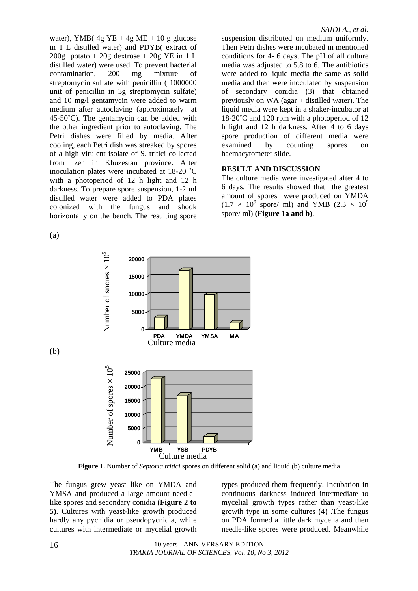water), YMB( $4g$  YE +  $4g$  ME + 10 g glucose in 1 L distilled water) and PDYB( extract of  $200g$  potato +  $20g$  dextrose +  $20g$  YE in 1 L distilled water) were used. To prevent bacterial contamination, 200 mg mixture of streptomycin sulfate with penicillin ( 1000000 unit of penicillin in 3g streptomycin sulfate) and 10 mg/l gentamycin were added to warm medium after autoclaving (approximately at  $45-50^{\circ}$ C). The gentamycin can be added with the other ingredient prior to autoclaving. The Petri dishes were filled by media. After cooling, each Petri dish was streaked by spores of a high virulent isolate of S. tritici collected from Izeh in Khuzestan province. After inoculation plates were incubated at 18-20 ˚C with a photoperiod of 12 h light and 12 h darkness. To prepare spore suspension, 1-2 ml distilled water were added to PDA plates colonized with the fungus and shook horizontally on the bench. The resulting spore

(a)

(b)

suspension distributed on medium uniformly. Then Petri dishes were incubated in mentioned conditions for 4- 6 days. The pH of all culture media was adjusted to 5.8 to 6. The antibiotics were added to liquid media the same as solid media and then were inoculated by suspension of secondary conidia (3) that obtained previously on WA (agar + distilled water). The liquid media were kept in a shaker-incubator at 18-20˚C and 120 rpm with a photoperiod of 12 h light and 12 h darkness. After 4 to 6 days spore production of different media were examined by counting spores on haemacytometer slide.

### **RESULT AND DISCUSSION**

The culture media were investigated after 4 to 6 days. The results showed that the greatest amount of spores were produced on YMDA  $(1.7 \times 10^9 \text{ spore/ ml})$  and YMB  $(2.3 \times 10^9 \text{ s})$ spore/ ml) **(Figure 1a and b)**.



**Figure 1.** Number of *Septoria tritici* spores on different solid (a) and liquid (b) culture media

The fungus grew yeast like on YMDA and YMSA and produced a large amount needle– like spores and secondary conidia **(Figure 2 to 5)**. Cultures with yeast-like growth produced hardly any pycnidia or pseudopycnidia, while cultures with intermediate or mycelial growth

types produced them frequently. Incubation in continuous darkness induced intermediate to mycelial growth types rather than yeast-like growth type in some cultures (4) .The fungus on PDA formed a little dark mycelia and then needle-like spores were produced. Meanwhile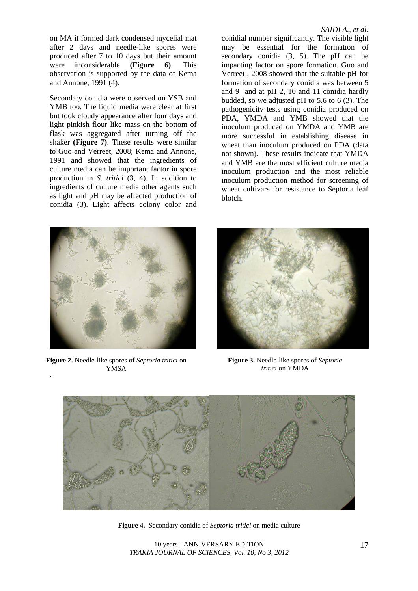on MA it formed dark condensed mycelial mat after 2 days and needle-like spores were produced after 7 to 10 days but their amount were inconsiderable **(Figure 6)**. This observation is supported by the data of Kema and Annone, 1991 (4).

Secondary conidia were observed on YSB and YMB too. The liquid media were clear at first but took cloudy appearance after four days and light pinkish flour like mass on the bottom of flask was aggregated after turning off the shaker **(Figure 7)**. These results were similar to Guo and Verreet, 2008; Kema and Annone, 1991 and showed that the ingredients of culture media can be important factor in spore production in *S. tritici* (3, 4). In addition to ingredients of culture media other agents such as light and pH may be affected production of conidia (3). Light affects colony color and

conidial number significantly. The visible light may be essential for the formation of secondary conidia (3, 5). The pH can be impacting factor on spore formation. Guo and Verreet , 2008 showed that the suitable pH for formation of secondary conidia was between 5 and 9 and at pH 2, 10 and 11 conidia hardly budded, so we adjusted pH to 5.6 to 6 (3). The pathogenicity tests using conidia produced on PDA, YMDA and YMB showed that the inoculum produced on YMDA and YMB are more successful in establishing disease in wheat than inoculum produced on PDA (data not shown). These results indicate that YMDA and YMB are the most efficient culture media inoculum production and the most reliable inoculum production method for screening of wheat cultivars for resistance to Septoria leaf blotch.



 **Figure 2.** Needle-like spores of *Septoria tritici* on . YMSA



**Figure 3.** Needle-like spores of *Septoria tritici* on YMDA



**Figure 4.** Secondary conidia of *Septoria tritici* on media culture

10 years - ANNIVERSARY EDITION *TRAKIA JOURNAL OF SCIENCES, Vol. 10, No 3, 2012*